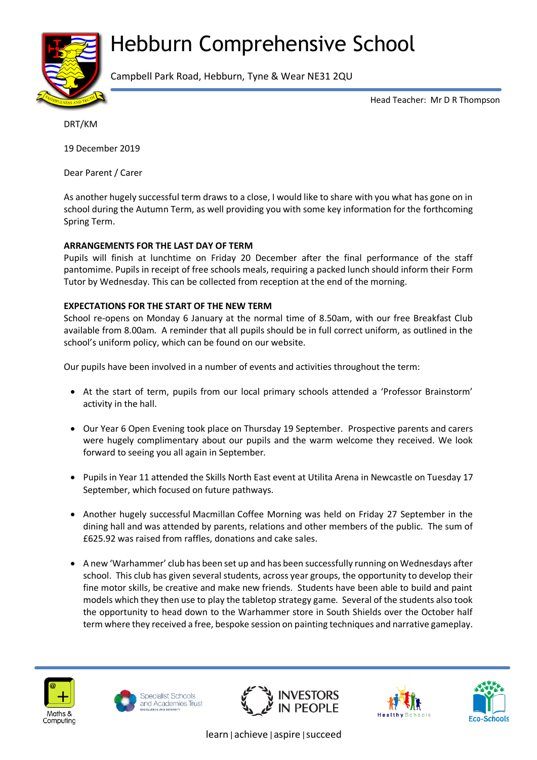# Hebburn Comprehensive School



Campbell Park Road, Hebburn, Tyne & Wear NE31 2QU

Head Teacher: Mr D R Thompson

DRT/KM

19 December 2019

Dear Parent / Carer

As another hugely successful term draws to a close, I would like to share with you what has gone on in school during the Autumn Term, as well providing you with some key information for the forthcoming Spring Term.

## **ARRANGEMENTS FOR THE LAST DAY OF TERM**

Pupils will finish at lunchtime on Friday 20 December after the final performance of the staff pantomime. Pupils in receipt of free schools meals, requiring a packed lunch should inform their Form Tutor by Wednesday. This can be collected from reception at the end of the morning.

## **EXPECTATIONS FOR THE START OF THE NEW TERM**

School re-opens on Monday 6 January at the normal time of 8.50am, with our free Breakfast Club available from 8.00am. A reminder that all pupils should be in full correct uniform, as outlined in the school's uniform policy, which can be found on our website.

Our pupils have been involved in a number of events and activities throughout the term:

- At the start of term, pupils from our local primary schools attended a 'Professor Brainstorm' activity in the hall.
- Our Year 6 Open Evening took place on Thursday 19 September. Prospective parents and carers were hugely complimentary about our pupils and the warm welcome they received. We look forward to seeing you all again in September.
- Pupils in Year 11 attended the Skills North East event at Utilita Arena in Newcastle on Tuesday 17 September, which focused on future pathways.
- Another hugely successful Macmillan Coffee Morning was held on Friday 27 September in the dining hall and was attended by parents, relations and other members of the public. The sum of £625.92 was raised from raffles, donations and cake sales.
- A new 'Warhammer' club has been set up and has been successfully running on Wednesdays after school. This club has given several students, across year groups, the opportunity to develop their fine motor skills, be creative and make new friends. Students have been able to build and paint models which they then use to play the tabletop strategy game. Several of the students also took the opportunity to head down to the Warhammer store in South Shields over the October half term where they received a free, bespoke session on painting techniques and narrative gameplay.











learn|achieve|aspire|succeed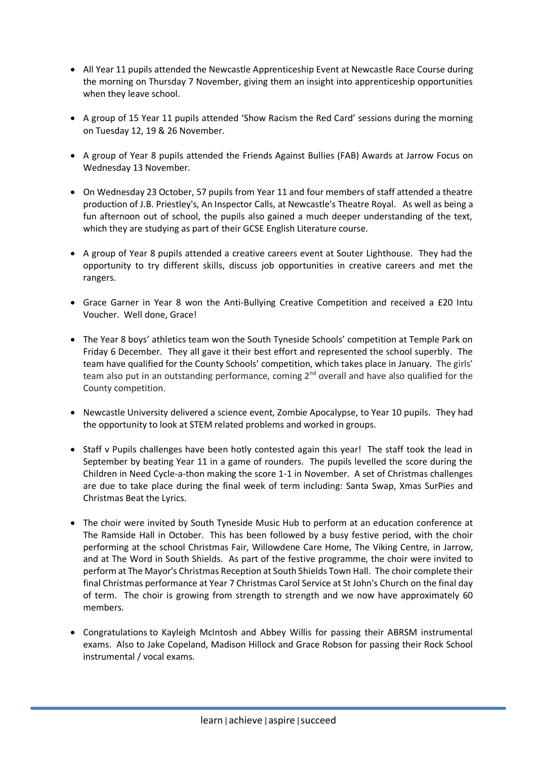- All Year 11 pupils attended the Newcastle Apprenticeship Event at Newcastle Race Course during the morning on Thursday 7 November, giving them an insight into apprenticeship opportunities when they leave school.
- A group of 15 Year 11 pupils attended 'Show Racism the Red Card' sessions during the morning on Tuesday 12, 19 & 26 November.
- A group of Year 8 pupils attended the Friends Against Bullies (FAB) Awards at Jarrow Focus on Wednesday 13 November.
- On Wednesday 23 October, 57 pupils from Year 11 and four members of staff attended a theatre production of J.B. Priestley's, An Inspector Calls, at Newcastle's Theatre Royal. As well as being a fun afternoon out of school, the pupils also gained a much deeper understanding of the text, which they are studying as part of their GCSE English Literature course.
- A group of Year 8 pupils attended a creative careers event at Souter Lighthouse. They had the opportunity to try different skills, discuss job opportunities in creative careers and met the rangers.
- Grace Garner in Year 8 won the Anti-Bullying Creative Competition and received a £20 Intu Voucher. Well done, Grace!
- The Year 8 boys' athletics team won the South Tyneside Schools' competition at Temple Park on Friday 6 December. They all gave it their best effort and represented the school superbly. The team have qualified for the County Schools' competition, which takes place in January. The girls' team also put in an outstanding performance, coming  $2^{nd}$  overall and have also qualified for the County competition.
- Newcastle University delivered a science event, Zombie Apocalypse, to Year 10 pupils. They had the opportunity to look at STEM related problems and worked in groups.
- Staff v Pupils challenges have been hotly contested again this year! The staff took the lead in September by beating Year 11 in a game of rounders. The pupils levelled the score during the Children in Need Cycle-a-thon making the score 1-1 in November. A set of Christmas challenges are due to take place during the final week of term including: Santa Swap, Xmas SurPies and Christmas Beat the Lyrics.
- The choir were invited by South Tyneside Music Hub to perform at an education conference at The Ramside Hall in October. This has been followed by a busy festive period, with the choir performing at the school Christmas Fair, Willowdene Care Home, The Viking Centre, in Jarrow, and at The Word in South Shields. As part of the festive programme, the choir were invited to perform at The Mayor's Christmas Reception at South Shields Town Hall. The choir complete their final Christmas performance at Year 7 Christmas Carol Service at St John's Church on the final day of term. The choir is growing from strength to strength and we now have approximately 60 members.
- Congratulations to Kayleigh McIntosh and Abbey Willis for passing their ABRSM instrumental exams. Also to Jake Copeland, Madison Hillock and Grace Robson for passing their Rock School instrumental / vocal exams.